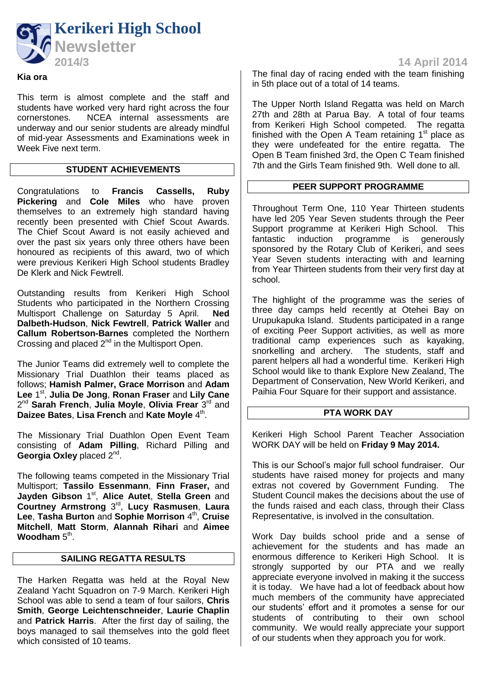

# **Kia ora**

This term is almost complete and the staff and students have worked very hard right across the four cornerstones. NCEA internal assessments are underway and our senior students are already mindful of mid-year Assessments and Examinations week in Week Five next term.

## **STUDENT ACHIEVEMENTS**

Congratulations to **Francis Cassells, Ruby Pickering** and **Cole Miles** who have proven themselves to an extremely high standard having recently been presented with Chief Scout Awards. The Chief Scout Award is not easily achieved and over the past six years only three others have been honoured as recipients of this award, two of which were previous Kerikeri High School students Bradley De Klerk and Nick Fewtrell.

Outstanding results from Kerikeri High School Students who participated in the Northern Crossing Multisport Challenge on Saturday 5 April. **Ned Dalbeth-Hudson**, **Nick Fewtrell**, **Patrick Waller** and **Callum Robertson-Barnes** completed the Northern Crossing and placed  $2^{nd}$  in the Multisport Open.

The Junior Teams did extremely well to complete the Missionary Trial Duathlon their teams placed as follows; **Hamish Palmer, Grace Morrison** and **Adam**  Lee 1<sup>st</sup>, Julia De Jong, Ronan Fraser and Lily Cane 2<sup>nd</sup> Sarah French, Julia Moyle, Olivia Frear 3<sup>rd</sup> and **Daizee Bates, Lisa French and Kate Moyle 4<sup>th</sup>.** 

The Missionary Trial Duathlon Open Event Team consisting of **Adam Pilling**, Richard Pilling and Georgia Oxley placed 2<sup>nd</sup>.

The following teams competed in the Missionary Trial Multisport; **Tassilo Essenmann**, **Finn Fraser,** and Jayden Gibson 1<sup>st</sup>, Alice Autet, Stella Green and Courtney Armstrong 3<sup>rd</sup>, Lucy Rasmusen, Laura Lee, Tasha Burton and Sophie Morrison 4<sup>th</sup>, Cruise **Mitchell**, **Matt Storm**, **Alannah Rihari** and **Aimee Woodham**  $5^{\text{th}}$ .

## **SAILING REGATTA RESULTS**

The Harken Regatta was held at the Royal New Zealand Yacht Squadron on 7-9 March. Kerikeri High School was able to send a team of four sailors, **Chris Smith**, **George Leichtenschneider**, **Laurie Chaplin** and **Patrick Harris**. After the first day of sailing, the boys managed to sail themselves into the gold fleet which consisted of 10 teams.

The final day of racing ended with the team finishing in 5th place out of a total of 14 teams.

The Upper North Island Regatta was held on March 27th and 28th at Parua Bay. A total of four teams from Kerikeri High School competed. The regatta finished with the Open A Team retaining  $1<sup>st</sup>$  place as they were undefeated for the entire regatta. The Open B Team finished 3rd, the Open C Team finished 7th and the Girls Team finished 9th. Well done to all.

### **PEER SUPPORT PROGRAMME**

Throughout Term One, 110 Year Thirteen students have led 205 Year Seven students through the Peer Support programme at Kerikeri High School. This fantastic induction programme is generously sponsored by the Rotary Club of Kerikeri, and sees Year Seven students interacting with and learning from Year Thirteen students from their very first day at school.

The highlight of the programme was the series of three day camps held recently at Otehei Bay on Urupukapuka Island. Students participated in a range of exciting Peer Support activities, as well as more traditional camp experiences such as kayaking, snorkelling and archery. The students, staff and parent helpers all had a wonderful time. Kerikeri High School would like to thank Explore New Zealand, The Department of Conservation, New World Kerikeri, and Paihia Four Square for their support and assistance.

#### **PTA WORK DAY**

Kerikeri High School Parent Teacher Association WORK DAY will be held on **Friday 9 May 2014.** 

This is our School's major full school fundraiser. Our students have raised money for projects and many extras not covered by Government Funding. The Student Council makes the decisions about the use of the funds raised and each class, through their Class Representative, is involved in the consultation.

Work Day builds school pride and a sense of achievement for the students and has made an enormous difference to Kerikeri High School. It is strongly supported by our PTA and we really appreciate everyone involved in making it the success it is today. We have had a lot of feedback about how much members of the community have appreciated our students' effort and it promotes a sense for our students of contributing to their own school community. We would really appreciate your support of our students when they approach you for work.